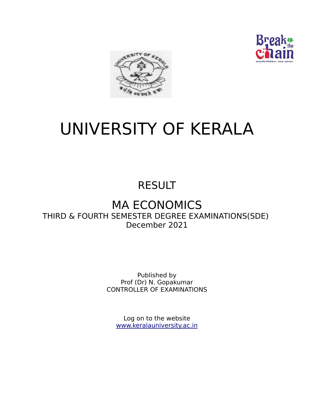



# UNIVERSITY OF KERALA

## RESULT

## MA ECONOMICS THIRD & FOURTH SEMESTER DEGREE EXAMINATIONS(SDE) December 2021

Published by Prof (Dr) N. Gopakumar CONTROLLER OF EXAMINATIONS

Log on to the website www.keralauniversity.ac.in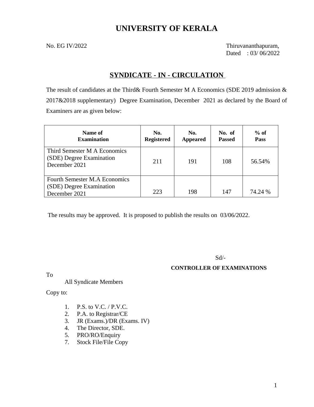## **UNIVERSITY OF KERALA**

No. EG IV/2022 Thiruvananthapuram, Dated : 03/ 06/2022

## **SYNDICATE - IN - CIRCULATION**

The result of candidates at the Third& Fourth Semester M A Economics (SDE 2019 admission & 2017&2018 supplementary) Degree Examination, December 2021 as declared by the Board of Examiners are as given below:

| Name of<br><b>Examination</b>                                                     | No.<br><b>Registered</b> | No.<br><b>Appeared</b> | No. of<br>Passed | $%$ of<br><b>Pass</b> |
|-----------------------------------------------------------------------------------|--------------------------|------------------------|------------------|-----------------------|
| Third Semester M A Economics<br>(SDE) Degree Examination<br>December 2021         | 211                      | 191                    | 108              | 56.54%                |
| <b>Fourth Semester M.A Economics</b><br>(SDE) Degree Examination<br>December 2021 | 223                      | 198                    | 147              | 74.24 %               |

The results may be approved. It is proposed to publish the results on 03/06/2022.

Sd/-

#### **CONTROLLER OF EXAMINATIONS**

To

#### All Syndicate Members

Copy to:

- 1. P.S. to V.C. / P.V.C.
- 2. P.A. to Registrar/CE
- 3. JR (Exams.)/DR (Exams. IV)
- 4. The Director, SDE.
- 5. PRO/RO/Enquiry
- 7. Stock File/File Copy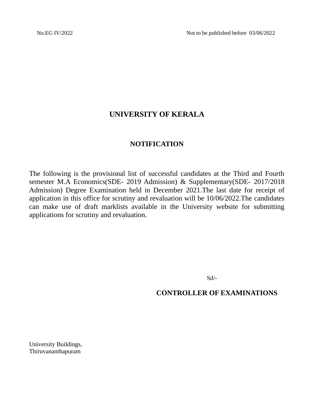## **UNIVERSITY OF KERALA**

## **NOTIFICATION**

The following is the provisional list of successful candidates at the Third and Fourth semester M.A Economics(SDE- 2019 Admission) & Supplementary(SDE- 2017/2018 Admission) Degree Examination held in December 2021.The last date for receipt of application in this office for scrutiny and revaluation will be 10/06/2022.The candidates can make use of draft marklists available in the University website for submitting applications for scrutiny and revaluation.

Sd/-

**CONTROLLER OF EXAMINATIONS**

University Buildings, Thiruvananthapuram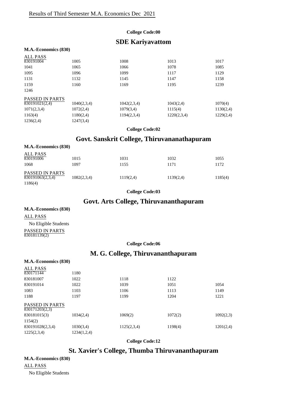#### **College Code:00**

## **SDE Kariyavattom**

#### **M.A.-Economics (830)**

| <b>ALL PASS</b>        |             |             |             |           |
|------------------------|-------------|-------------|-------------|-----------|
| 830191004              | 1005        | 1008        | 1013        | 1017      |
| 1041                   | 1065        | 1066        | 1078        | 1085      |
| 1095                   | 1096        | 1099        | 1117        | 1129      |
| 1131                   | 1132        | 1145        | 1147        | 1158      |
| 1159                   | 1160        | 1169        | 1195        | 1239      |
| 1246                   |             |             |             |           |
| <b>PASSED IN PARTS</b> |             |             |             |           |
| 830191021(2,4)         | 1040(2,3,4) | 1042(2,3,4) | 1043(2,4)   | 1070(4)   |
| 1071(2,3,4)            | 1072(2,4)   | 1079(3,4)   | 1115(4)     | 1130(2,4) |
| 1163(4)                | 1180(2,4)   | 1194(2,3,4) | 1220(2,3,4) | 1229(2,4) |
| 1236(2,4)              | 1247(3,4)   |             |             |           |
|                        |             |             |             |           |

**College Code:02**

## **Govt. Sanskrit College, Thiruvananathapuram**

| M.A.-Economics (830)                             |              |              |              |              |
|--------------------------------------------------|--------------|--------------|--------------|--------------|
| ALL PASS<br>830191006<br>1068                    | 1015<br>1097 | 1031<br>1155 | 1032<br>1171 | 1055<br>1172 |
| PASSED IN PARTS<br>$\overline{830191063(2,3,4)}$ | 1082(2,3,4)  | 1119(2,4)    | 1139(2,4)    | 1185(4)      |
| 1186(4)                                          |              |              |              |              |

**College Code:03**

## **Govt. Arts College, Thiruvananthapuram**

#### **M.A.-Economics (830)**

ALL PASS No Eligible Students

PASSED IN PARTS 830181139(2)

#### **College Code:06**

## **M. G. College, Thiruvananthapuram**

| M.A.-Economics (830)                     |             |             |         |           |
|------------------------------------------|-------------|-------------|---------|-----------|
| ALL PASS<br>830171144                    | 1180        |             |         |           |
| 830181007                                | 1022        | 1118        | 1122    |           |
| 830191014                                | 1022        | 1039        | 1051    | 1054      |
| 1083                                     | 1103        | 1106        | 1113    | 1149      |
| 1188                                     | 1197        | 1199        | 1204    | 1221      |
| <b>PASSED IN PARTS</b><br>830171203(2,3) |             |             |         |           |
| 830181015(3)                             | 1034(2,4)   | 1069(2)     | 1072(2) | 1092(2,3) |
| 1154(2)                                  |             |             |         |           |
| 830191028(2,3,4)                         | 1030(3,4)   | 1125(2,3,4) | 1198(4) | 1201(2,4) |
| 1225(2,3,4)                              | 1234(1,2,4) |             |         |           |
|                                          |             |             |         |           |

**College Code:12**

## **St. Xavier's College, Thumba Thiruvananthapuram**

**M.A.-Economics (830)**

ALL PASS

No Eligible Students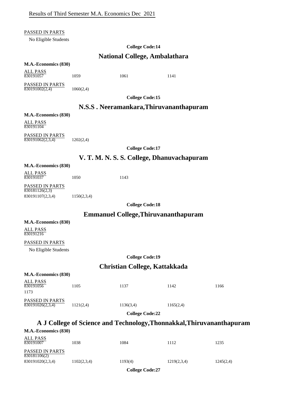#### PASSED IN PARTS

No Eligible Students

#### **College Code:14**

### **National College, Ambalathara**

#### **M.A.-Economics (830)**

ALL PASS  $\frac{122211222}{830191057}$  1059 1061 1141

PASSED IN PARTS  $\frac{11888888111111188}{830191002(2,4)}$  1060(2,4)

**College Code:15**

#### **N.S.S . Neeramankara,Thiruvananthapuram**

#### **M.A.-Economics (830)**

ALL PASS 830191104

PASSED IN PARTS  $\overline{830191062(2,3,4)}$  1202(2,4)

**College Code:17**

#### **V. T. M. N. S. S. College, Dhanuvachapuram**

#### **M.A.-Economics (830)**

ALL PASS 830191037 1050 1143

PASSED IN PARTS  $830181126(2,3)$ 830191107(2,3,4) 1150(2,3,4)

**College Code:18**

#### **Emmanuel College,Thiruvananthapuram**

**M.A.-Economics (830)**

ALL PASS 830191216

#### PASSED IN PARTS

No Eligible Students

**College Code:19**

#### **Christian College, Kattakkada**

#### **M.A.-Economics (830)**

|                                            |           | <b>College Code:22</b> |           |      |
|--------------------------------------------|-----------|------------------------|-----------|------|
| <b>PASSED IN PARTS</b><br>830191026(2,3,4) | 1121(2,4) | 1136(3,4)              | 1165(2,4) |      |
| ALL PASS<br>830191056<br>1173              | 1105      | 1137                   | 1142      | 1166 |

## **A J College of Science and Technology,Thonnakkal,Thiruvananthapuram**

| M.A.-Economics (830)            |             |         |             |           |
|---------------------------------|-------------|---------|-------------|-----------|
| <b>ALL PASS</b><br>830191007    | 1038        | 1084    | 1112        | 1235      |
| PASSED IN PARTS<br>830181106(2) |             |         |             |           |
| 830191020(2,3,4)                | 1102(2,3,4) | 1193(4) | 1219(2,3,4) | 1245(2,4) |

**College Code:27**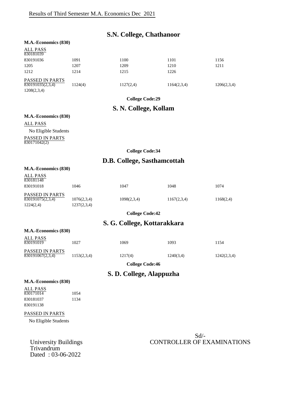|                                                    |                            | <b>S.N. College, Chathanoor</b> |             |             |
|----------------------------------------------------|----------------------------|---------------------------------|-------------|-------------|
| M.A.-Economics (830)                               |                            |                                 |             |             |
| <b>ALL PASS</b><br>830181039                       |                            |                                 |             |             |
| 830191036                                          | 1091                       | 1100                            | 1101        | 1156        |
| 1205                                               | 1207                       | 1209                            | 1210        | 1211        |
| 1212                                               | 1214                       | 1215                            | 1226        |             |
| PASSED IN PARTS<br>830191035(2,3,4)<br>1208(2,3,4) | 1124(4)                    | 1127(2,4)                       | 1164(2,3,4) | 1206(2,3,4) |
|                                                    |                            | <b>College Code:29</b>          |             |             |
|                                                    |                            | S. N. College, Kollam           |             |             |
| M.A.-Economics (830)                               |                            |                                 |             |             |
| <b>ALL PASS</b>                                    |                            |                                 |             |             |
| No Eligible Students                               |                            |                                 |             |             |
| PASSED IN PARTS<br>830171042(2)                    |                            |                                 |             |             |
|                                                    |                            | <b>College Code:34</b>          |             |             |
|                                                    |                            | D.B. College, Sasthamcottah     |             |             |
| M.A.-Economics (830)                               |                            |                                 |             |             |
| <b>ALL PASS</b><br>830181148                       |                            |                                 |             |             |
| 830191018                                          | 1046                       | 1047                            | 1048        | 1074        |
| PASSED IN PARTS<br>830191075(2,3,4)<br>1224(2,4)   | 1076(2,3,4)<br>1237(2,3,4) | 1098(2,3,4)                     | 1167(2,3,4) | 1168(2,4)   |
|                                                    |                            | <b>College Code:42</b>          |             |             |
|                                                    |                            | S. G. College, Kottarakkara     |             |             |
| M.A.-Economics (830)                               |                            |                                 |             |             |
| <b>ALL PASS</b><br>830191019                       | 1027                       | 1069                            | 1093        | 1154        |
| PASSED IN PARTS<br>830191067(2,3,4)                | 1153(2,3,4)                | 1217(4)                         | 1240(3,4)   | 1242(2,3,4) |
|                                                    |                            | <b>College Code:46</b>          |             |             |
|                                                    |                            | S. D. College, Alappuzha        |             |             |
| M.A.-Economics (830)                               |                            |                                 |             |             |
| <b>ALL PASS</b>                                    |                            |                                 |             |             |
| 830171014                                          | 1054                       |                                 |             |             |
| 830181037<br>830191138                             | 1134                       |                                 |             |             |
|                                                    |                            |                                 |             |             |
| PASSED IN PARTS                                    |                            |                                 |             |             |
| No Eligible Students                               |                            |                                 |             |             |
|                                                    |                            |                                 |             |             |
|                                                    |                            |                                 | $Sd$ /-     |             |

## University Buildings CONTROLLER OF EXAMINATIONS

Trivandrum Dated : 03-06-2022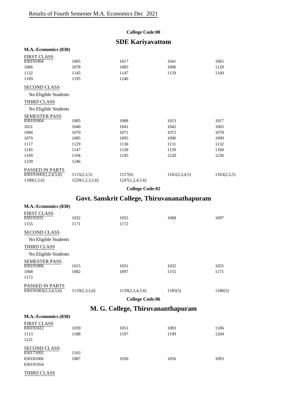#### **College Code:00**

## **SDE Kariyavattom**

| M.A.-Economics (830) |                 |                 |               |             |
|----------------------|-----------------|-----------------|---------------|-------------|
| <b>FIRST CLASS</b>   |                 |                 |               |             |
| 830191004            | 1005            | 1017            | 1041          | 1065        |
| 1066                 | 1078            | 1085            | 1096          | 1129        |
| 1132                 | 1145            | 1147            | 1159          | 1160        |
| 1169                 | 1195            | 1246            |               |             |
| <b>SECOND CLASS</b>  |                 |                 |               |             |
| No Eligible Students |                 |                 |               |             |
| THIRD CLASS          |                 |                 |               |             |
| No Eligible Students |                 |                 |               |             |
| <b>SEMESTER PASS</b> |                 |                 |               |             |
| 830191004            | 1005            | 1008            | 1013          | 1017        |
| 1021                 | 1040            | 1041            | 1042          | 1065        |
| 1066                 | 1070            | 1071            | 1072          | 1078        |
| 1079                 | 1085            | 1095            | 1096          | 1099        |
| 1117                 | 1129            | 1130            | 1131          | 1132        |
| 1145                 | 1147            | 1158            | 1159          | 1160        |
| 1169                 | 1194            | 1195            | 1220          | 1236        |
| 1239                 | 1246            |                 |               |             |
| PASSED IN PARTS      |                 |                 |               |             |
| 830191043(1,2,4,5,6) | 1115(2,3,5)     | 1157(6)         | 1161(2,3,4,5) | 1163(2,3,5) |
| 1180(1,5,6)          | 1229(1,2,3,5,6) | 1247(1,2,4,5,6) |               |             |

**College Code:02**

## **Govt. Sanskrit College, Thiruvananathapuram**

| M.A.-Economics (830)            |               |                        |         |         |
|---------------------------------|---------------|------------------------|---------|---------|
| <b>FIRST CLASS</b><br>830191031 | 1032          | 1055                   | 1068    | 1097    |
| 1155                            | 1171          | 1172                   |         |         |
| <b>SECOND CLASS</b>             |               |                        |         |         |
| No Eligible Students            |               |                        |         |         |
| THIRD CLASS                     |               |                        |         |         |
| No Eligible Students            |               |                        |         |         |
| <b>SEMESTER PASS</b>            |               |                        |         |         |
| 830191006                       | 1015          | 1031                   | 1032    | 1055    |
| 1068                            | 1082          | 1097                   | 1155    | 1171    |
| 1172                            |               |                        |         |         |
| <b>PASSED IN PARTS</b>          |               |                        |         |         |
| 830191063(2,3,4,5,6)            | 1119(2,3,5,6) | 1139(2,3,4,5,6)        | 1185(5) | 1186(5) |
|                                 |               | <b>College Code:06</b> |         |         |

## **M. G. College, Thiruvananthapuram**

| M.A.-Economics (830)                                       |              |              |              |              |
|------------------------------------------------------------|--------------|--------------|--------------|--------------|
| <b>FIRST CLASS</b><br>830191022<br>1113<br>1221            | 1039<br>1188 | 1051<br>1197 | 1083<br>1199 | 1106<br>1204 |
| <b>SECOND CLASS</b><br>830171092<br>830181006<br>830191054 | 1163<br>1007 | 1050         | 1056         | 1093         |

THIRD CLASS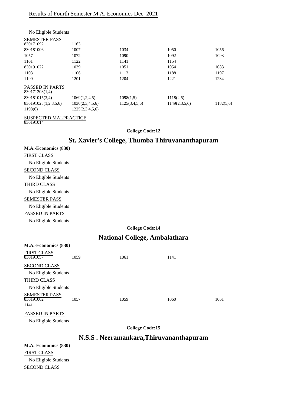| No Eligible Students                     |                 |               |               |           |
|------------------------------------------|-----------------|---------------|---------------|-----------|
| <b>SEMESTER PASS</b>                     |                 |               |               |           |
| 830171092                                | 1163            |               |               |           |
| 830181006                                | 1007            | 1034          | 1050          | 1056      |
| 1057                                     | 1072            | 1090          | 1092          | 1093      |
| 1101                                     | 1122            | 1141          | 1154          |           |
| 830191022                                | 1039            | 1051          | 1054          | 1083      |
| 1103                                     | 1106            | 1113          | 1188          | 1197      |
| 1199                                     | 1201            | 1204          | 1221          | 1234      |
| <b>PASSED IN PARTS</b><br>830171203(1,4) |                 |               |               |           |
| 830181015(3,4)                           | 1069(1,2,4,5)   | 1098(1,5)     | 1118(2,5)     |           |
| 830191028(1,2,3,5,6)                     | 1030(2,3,4,5,6) | 1125(3,4,5,6) | 1149(2,3,5,6) | 1182(5,6) |
| 1198(6)                                  | 1225(2,3,4,5,6) |               |               |           |
|                                          |                 |               |               |           |

#### SUSPECTED MALPRACTICE

830191014

#### **College Code:12**

### **St. Xavier's College, Thumba Thiruvananthapuram**

| M.A.-Economics (830) |                        |
|----------------------|------------------------|
| FIRST CLASS          |                        |
| No Eligible Students |                        |
| SECOND CLASS         |                        |
| No Eligible Students |                        |
| THIRD CLASS          |                        |
| No Eligible Students |                        |
| SEMESTER PASS        |                        |
| No Eligible Students |                        |
| PASSED IN PARTS      |                        |
| No Eligible Students |                        |
|                      | <b>College Code:14</b> |

## **National College, Ambalathara**

| M.A.-Economics (830)                      |      |      |      |      |
|-------------------------------------------|------|------|------|------|
| <b>FIRST CLASS</b><br>830191057           | 1059 | 1061 | 1141 |      |
| <b>SECOND CLASS</b>                       |      |      |      |      |
| No Eligible Students                      |      |      |      |      |
| THIRD CLASS                               |      |      |      |      |
| No Eligible Students                      |      |      |      |      |
| <b>SEMESTER PASS</b><br>830191002<br>1141 | 1057 | 1059 | 1060 | 1061 |
| <b>PASSED IN PARTS</b>                    |      |      |      |      |

No Eligible Students

**College Code:15**

## **N.S.S . Neeramankara,Thiruvananthapuram**

**M.A.-Economics (830)** FIRST CLASS No Eligible Students SECOND CLASS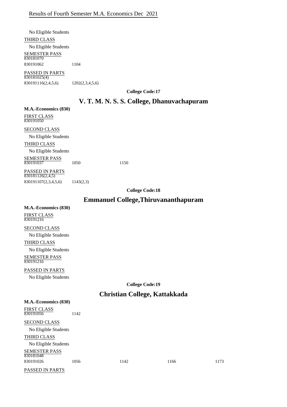No Eligible Students THIRD CLASS No Eligible Students SEMESTER PASS PASSED IN PARTS 830181070 830191062 1104

830181025(4) 830191116(2,4,5,6) 1202(2,3,4,5,6)

**College Code:17**

#### **V. T. M. N. S. S. College, Dhanuvachapuram**

**M.A.-Economics (830)** FIRST CLASS 830191050

SECOND CLASS No Eligible Students THIRD CLASS

No Eligible Students

SEMESTER PASS 830191037 1050 1150

PASSED IN PARTS 830181126(2,4,5) 830191107(2,3,4,5,6) 1143(2,3)

**College Code:18**

## **Emmanuel College,Thiruvananthapuram**

| M.A.-Economics (830)              |
|-----------------------------------|
| <b>FIRST CLASS</b><br>830191216   |
| <b>SECOND CLASS</b>               |
| No Eligible Students              |
| <b>THIRD CLASS</b>                |
| No Eligible Students              |
| <b>SEMESTER PASS</b><br>830191216 |
| <b>PASSED IN PARTS</b>            |
| No Eligible Students              |

**College Code:19**

## **Christian College, Kattakkada**

| M.A.-Economics (830)              |      |      |      |      |
|-----------------------------------|------|------|------|------|
| <b>FIRST CLASS</b><br>830191056   | 1142 |      |      |      |
| <b>SECOND CLASS</b>               |      |      |      |      |
| No Eligible Students              |      |      |      |      |
| THIRD CLASS                       |      |      |      |      |
| No Eligible Students              |      |      |      |      |
| <b>SEMESTER PASS</b><br>830181048 |      |      |      |      |
| 830191026                         | 1056 | 1142 | 1166 | 1173 |
|                                   |      |      |      |      |

PASSED IN PARTS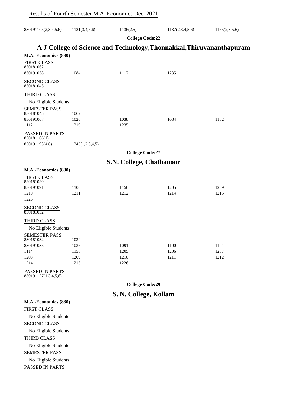| 830191105(2,3,4,5,6) | 1121(3,4,5,6) | 1136(2,5) | 1137(2,3,4,5,6) | 1165(2,3,5,6) |
|----------------------|---------------|-----------|-----------------|---------------|
|                      |               |           |                 |               |

**College Code:22**

## **A J College of Science and Technology,Thonnakkal,Thiruvananthapuram**

| M.A.-Economics (830)                    |                        |                          |      |      |
|-----------------------------------------|------------------------|--------------------------|------|------|
| <b>FIRST CLASS</b><br>830181062         |                        |                          |      |      |
| 830191038                               | 1084                   | 1112                     | 1235 |      |
| <b>SECOND CLASS</b><br>830181045        |                        |                          |      |      |
| THIRD CLASS                             |                        |                          |      |      |
| No Eligible Students                    |                        |                          |      |      |
| <b>SEMESTER PASS</b><br>830181045       | 1062                   |                          |      |      |
| 830191007                               | 1020                   | 1038                     | 1084 | 1102 |
| 1112                                    | 1219                   | 1235                     |      |      |
| PASSED IN PARTS<br>830181106(1)         |                        |                          |      |      |
| 830191193(4,6)                          | 1245(1,2,3,4,5)        |                          |      |      |
|                                         | <b>College Code:27</b> |                          |      |      |
|                                         |                        | S.N. College, Chathanoor |      |      |
| M.A.-Economics (830)                    |                        |                          |      |      |
| <b>FIRST CLASS</b>                      |                        |                          |      |      |
| 830181039                               |                        |                          |      |      |
| 830191091                               | 1100                   | 1156                     | 1205 | 1209 |
| 1210                                    | 1211                   | 1212                     | 1214 | 1215 |
| 1226                                    |                        |                          |      |      |
| <b>SECOND CLASS</b><br>830181032        |                        |                          |      |      |
| THIRD CLASS                             |                        |                          |      |      |
| No Eligible Students                    |                        |                          |      |      |
| <b>SEMESTER PASS</b>                    |                        |                          |      |      |
| 830181032                               | 1039                   |                          |      |      |
| 830191035                               | 1036                   | 1091                     | 1100 | 1101 |
| 1114                                    | 1156                   | 1205                     | 1206 | 1207 |
| 1208                                    | 1209                   | 1210                     | 1211 | 1212 |
| 1214                                    | 1215                   | 1226                     |      |      |
| PASSED IN PARTS<br>830191127(1,3,4,5,6) |                        |                          |      |      |
|                                         |                        | <b>College Code:29</b>   |      |      |
|                                         | S. N. College, Kollam  |                          |      |      |
| M.A.-Economics (830)                    |                        |                          |      |      |
| EIDET CLASS                             |                        |                          |      |      |

FIRST CLASS No Eligible Students SECOND CLASS No Eligible Students THIRD CLASS No Eligible Students SEMESTER PASS No Eligible Students PASSED IN PARTS